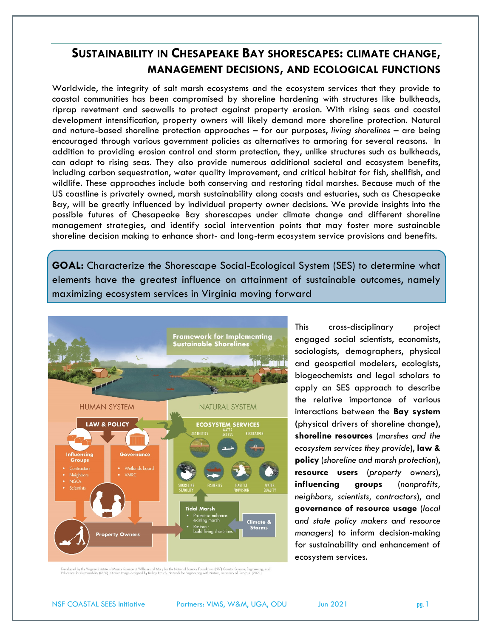# **SUSTAINABILITY IN CHESAPEAKE BAY SHORESCAPES: CLIMATE CHANGE, MANAGEMENT DECISIONS, AND ECOLOGICAL FUNCTIONS**

Worldwide, the integrity of salt marsh ecosystems and the ecosystem services that they provide to coastal communities has been compromised by shoreline hardening with structures like bulkheads, riprap revetment and seawalls to protect against property erosion. With rising seas and coastal development intensification, property owners will likely demand more shoreline protection. Natural and nature-based shoreline protection approaches – for our purposes, *living shorelines* – are being encouraged through various government policies as alternatives to armoring for several reasons. In addition to providing erosion control and storm protection, they, unlike structures such as bulkheads, can adapt to rising seas. They also provide numerous additional societal and ecosystem benefits, including carbon sequestration, water quality improvement, and critical habitat for fish, shellfish, and wildlife. These approaches include both conserving and restoring tidal marshes. Because much of the US coastline is privately owned, marsh sustainability along coasts and estuaries, such as Chesapeake Bay, will be greatly influenced by individual property owner decisions. We provide insights into the possible futures of Chesapeake Bay shorescapes under climate change and different shoreline management strategies, and identify social intervention points that may foster more sustainable shoreline decision making to enhance short- and long-term ecosystem service provisions and benefits.

**GOAL:** Characterize the Shorescape Social-Ecological System (SES) to determine what elements have the greatest influence on attainment of sustainable outcomes, namely maximizing ecosystem services in Virginia moving forward



This cross-disciplinary project engaged social scientists, economists, sociologists, demographers, physical and geospatial modelers, ecologists, biogeochemists and legal scholars to apply an SES approach to describe the relative importance of various interactions between the **Bay system (**physical drivers of shoreline change**)**, **shoreline resources** (*marshes and the ecosystem services they provide*), **law & policy** (*shoreline and marsh protection*), **resource users** (*property owners*), **influencing groups** (*nonprofits, neighbors, scientists, contractors*), and **governance of resource usage** (*local and state policy makers and resource managers*) to inform decision-making for sustainability and enhancement of ecosystem services.

sed by the Virginia Institute of Marine Science at William and Mary for the National Science Foundation (NSF) Coastal Science, Engineering, and<br>on for Sustainability (SEES) Initiative.Image designed by Kelsey Broich, Netwo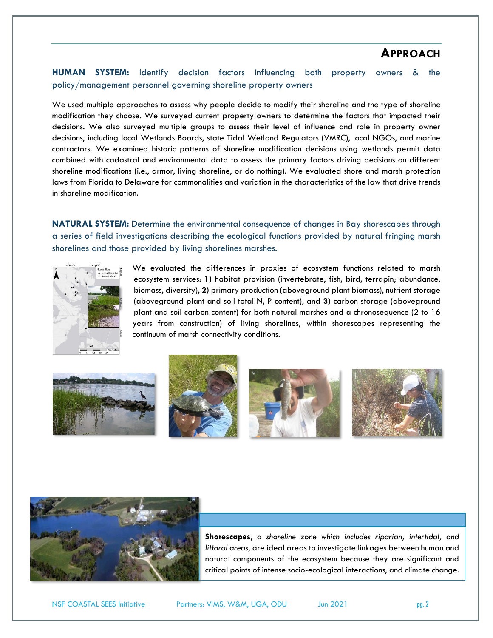# **APPROACH**

**HUMAN SYSTEM:** Identify decision factors influencing both property owners & the policy/management personnel governing shoreline property owners

We used multiple approaches to assess why people decide to modify their shoreline and the type of shoreline modification they choose. We surveyed current property owners to determine the factors that impacted their decisions. We also surveyed multiple groups to assess their level of influence and role in property owner decisions, including local Wetlands Boards, state Tidal Wetland Regulators (VMRC), local NGOs, and marine contractors. We examined historic patterns of shoreline modification decisions using wetlands permit data combined with cadastral and environmental data to assess the primary factors driving decisions on different shoreline modifications (i.e., armor, living shoreline, or do nothing). We evaluated shore and marsh protection laws from Florida to Delaware for commonalities and variation in the characteristics of the law that drive trends in shoreline modification.

**NATURAL SYSTEM:** Determine the environmental consequence of changes in Bay shorescapes through a series of field investigations describing the ecological functions provided by natural fringing marsh shorelines and those provided by living shorelines marshes.



We evaluated the differences in proxies of ecosystem functions related to marsh ecosystem services: **1)** habitat provision (invertebrate, fish, bird, terrapin; abundance, biomass, diversity), **2)** primary production (aboveground plant biomass), nutrient storage (aboveground plant and soil total N, P content), and **3)** carbon storage (aboveground plant and soil carbon content) for both natural marshes and a chronosequence (2 to 16 years from construction) of living shorelines, within shorescapes representing the continuum of marsh connectivity conditions.











**Shorescapes**, *a shoreline zone which includes riparian, intertidal, and littoral areas*, are ideal areas to investigate linkages between human and natural components of the ecosystem because they are significant and critical points of intense socio-ecological interactions, and climate change.